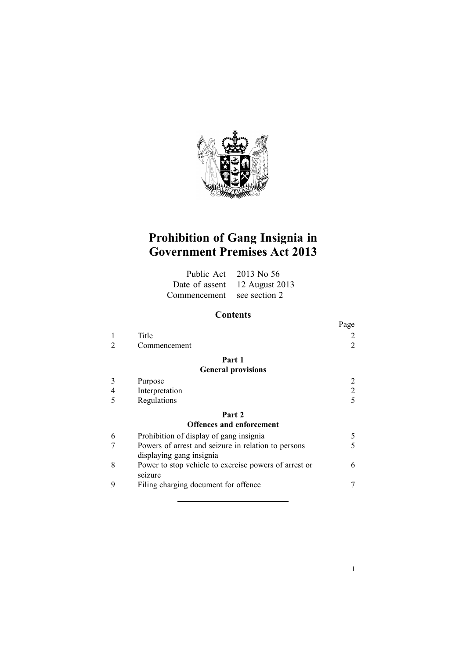

# **Prohibition of Gang Insignia in Government Premises Act 2013**

|                            | Public Act $2013$ No 56       |
|----------------------------|-------------------------------|
|                            | Date of assent 12 August 2013 |
| Commencement see section 2 |                               |

## **Contents**

|                                 |                                                       | Page           |  |  |
|---------------------------------|-------------------------------------------------------|----------------|--|--|
|                                 | Title                                                 |                |  |  |
|                                 | Commencement                                          | $\overline{2}$ |  |  |
|                                 | Part 1                                                |                |  |  |
|                                 | <b>General provisions</b>                             |                |  |  |
| 3                               | Purpose                                               |                |  |  |
| 4                               | Interpretation                                        | 2              |  |  |
| 5                               | Regulations                                           | $\varsigma$    |  |  |
|                                 | Part 2                                                |                |  |  |
| <b>Offences and enforcement</b> |                                                       |                |  |  |
| 6                               | Prohibition of display of gang insignia               | 5              |  |  |
|                                 | Powers of arrest and seizure in relation to persons   | 5              |  |  |
|                                 | displaying gang insignia                              |                |  |  |
| 8                               | Power to stop vehicle to exercise powers of arrest or | 6              |  |  |
|                                 | seizure                                               |                |  |  |
| 9                               | Filing charging document for offence                  |                |  |  |
|                                 |                                                       |                |  |  |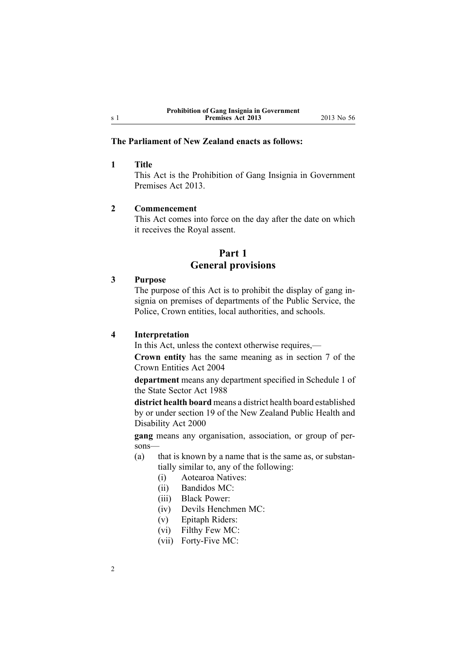### <span id="page-1-0"></span>**The Parliament of New Zealand enacts as follows:**

#### **1 Title**

This Act is the Prohibition of Gang Insignia in Government Premises Act 2013.

#### **2 Commencement**

This Act comes into force on the day after the date on which it receives the Royal assent.

## **Part 1 General provisions**

### **3 Purpose**

The purpose of this Act is to prohibit the display of gang insignia on premises of departments of the Public Service, the Police, Crown entities, local authorities, and schools.

### **4 Interpretation**

In this Act, unless the context otherwise requires,—

**Crown entity** has the same meaning as in [section](http://www.legislation.govt.nz/pdflink.aspx?id=DLM329641) 7 of the Crown Entities Act 2004

**department** means any department specified in [Schedule](http://www.legislation.govt.nz/pdflink.aspx?id=DLM130706) 1 of the State Sector Act 1988

**district health board** means <sup>a</sup> district health board established by or under [section](http://www.legislation.govt.nz/pdflink.aspx?id=DLM80802) 19 of the New Zealand Public Health and Disability Act 2000

**gang** means any organisation, association, or group of persons—

- (a) that is known by <sup>a</sup> name that is the same as, or substantially similar to, any of the following:
	- (i) Aotearoa Natives:
	- (ii) Bandidos MC:
	- (iii) Black Power:
	- (iv) Devils Henchmen MC:
	- (v) Epitaph Riders:
	- (vi) Filthy Few MC:
	- (vii) Forty-Five MC: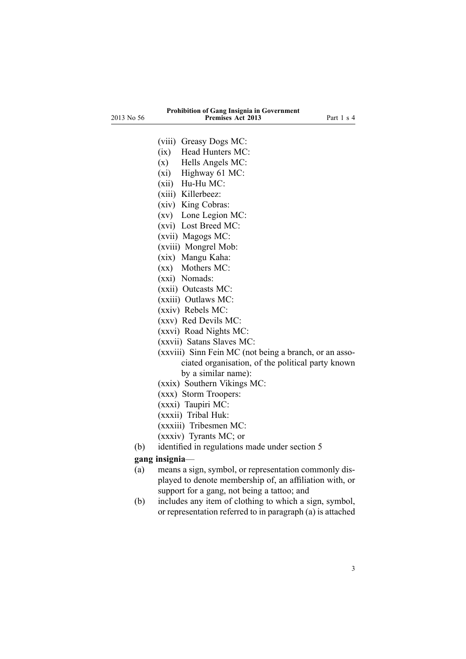#### **Prohibition of Gang Insignia in Government Premises Act 2013** Part 1 <sup>s</sup> 4

- (viii) Greasy Dogs MC:
- (ix) Head Hunters MC:
- (x) Hells Angels MC:
- (xi) Highway 61 MC:
- (xii) Hu-Hu MC:
- (xiii) Killerbeez:
- (xiv) King Cobras:
- (xv) Lone Legion MC:
- (xvi) Lost Breed MC:
- (xvii) Magogs MC:
- (xviii) Mongrel Mob:
- (xix) Mangu Kaha:
- (xx) Mothers MC:
- (xxi) Nomads:
- (xxii) Outcasts MC:
- (xxiii) Outlaws MC:
- (xxiv) Rebels MC:
- (xxv) Red Devils MC:
- (xxvi) Road Nights MC:
- (xxvii) Satans Slaves MC:
- (xxviii) Sinn Fein MC (not being <sup>a</sup> branch, or an associated organisation, of the political party known by <sup>a</sup> similar name):
- (xxix) Southern Vikings MC:
- (xxx) Storm Troopers:
- (xxxi) Taupiri MC:
- (xxxii) Tribal Huk:
- (xxxiii) Tribesmen MC:
- (xxxiv) Tyrants MC; or
- (b) identified in regulations made under section 5

#### **gang insignia**—

- (a) means <sup>a</sup> sign, symbol, or representation commonly displayed to denote membership of, an affiliation with, or suppor<sup>t</sup> for <sup>a</sup> gang, not being <sup>a</sup> tattoo; and
- (b) includes any item of clothing to which <sup>a</sup> sign, symbol, or representation referred to in paragraph (a) is attached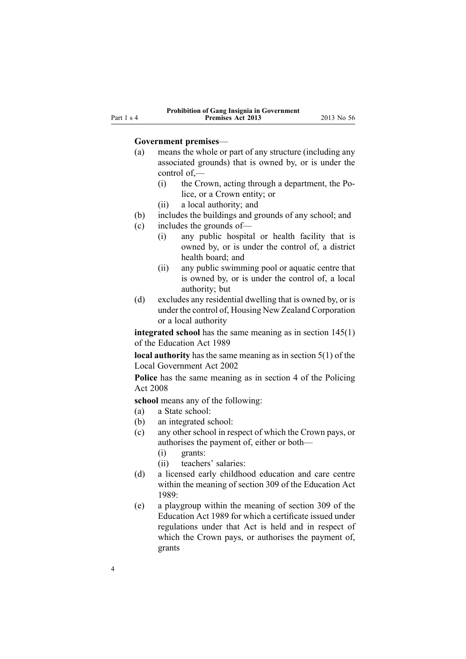#### **Government premises**—

- (a) means the whole or par<sup>t</sup> of any structure (including any associated grounds) that is owned by, or is under the control of,—
	- (i) the Crown, acting through <sup>a</sup> department, the Police, or <sup>a</sup> Crown entity; or
	- (ii) <sup>a</sup> local authority; and
- (b) includes the buildings and grounds of any school; and
- (c) includes the grounds of—
	- (i) any public hospital or health facility that is owned by, or is under the control of, <sup>a</sup> district health board; and
	- (ii) any public swimming pool or aquatic centre that is owned by, or is under the control of, <sup>a</sup> local authority; but
- (d) excludes any residential dwelling that is owned by, or is under the control of, Housing New Zealand Corporation or <sup>a</sup> local authority

**integrated school** has the same meaning as in section [145\(1\)](http://www.legislation.govt.nz/pdflink.aspx?id=DLM182064) of the Education Act 1989

**local authority** has the same meaning as in [section](http://www.legislation.govt.nz/pdflink.aspx?id=DLM170881) 5(1) of the Local Government Act 2002

**Police** has the same meaning as in [section](http://www.legislation.govt.nz/pdflink.aspx?id=DLM1102132) 4 of the Policing Act 2008

**school** means any of the following:

- (a) <sup>a</sup> State school:
- (b) an integrated school:
- (c) any other school in respec<sup>t</sup> of which the Crown pays, or authorises the paymen<sup>t</sup> of, either or both—
	- (i) grants:
	- (ii) teachers' salaries:
- (d) <sup>a</sup> licensed early childhood education and care centre within the meaning of [section](http://www.legislation.govt.nz/pdflink.aspx?id=DLM187091) 309 of the Education Act 1989:
- (e) <sup>a</sup> playgroup within the meaning of [section](http://www.legislation.govt.nz/pdflink.aspx?id=DLM187091) 309 of the Education Act 1989 for which <sup>a</sup> certificate issued under regulations under that Act is held and in respec<sup>t</sup> of which the Crown pays, or authorises the paymen<sup>t</sup> of, grants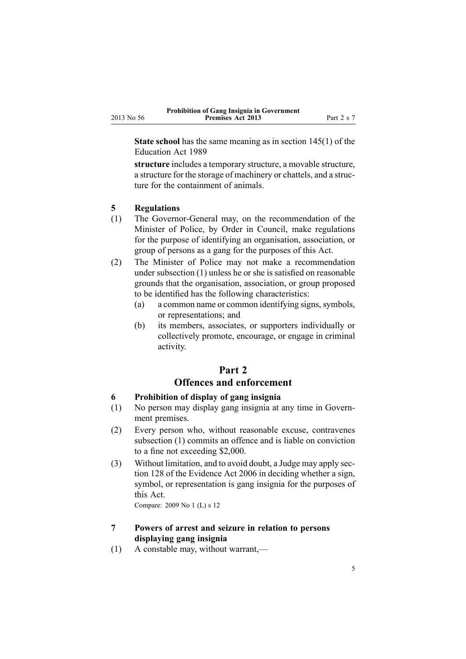<span id="page-4-0"></span>**State school** has the same meaning as in section [145\(1\)](http://www.legislation.govt.nz/pdflink.aspx?id=DLM182064) of the Education Act 1989

**structure** includes <sup>a</sup> temporary structure, <sup>a</sup> movable structure, <sup>a</sup> structure for the storage of machinery or chattels, and <sup>a</sup> structure for the containment of animals.

## **5 Regulations**

- (1) The Governor-General may, on the recommendation of the Minister of Police, by Order in Council, make regulations for the purpose of identifying an organisation, association, or group of persons as <sup>a</sup> gang for the purposes of this Act.
- (2) The Minister of Police may not make <sup>a</sup> recommendation under subsection (1) unless he or she is satisfied on reasonable grounds that the organisation, association, or group proposed to be identified has the following characteristics:
	- (a) a common name or common identifying signs, symbols, or representations; and
	- (b) its members, associates, or supporters individually or collectively promote, encourage, or engage in criminal activity.

## **Part 2 Offences and enforcement**

## **6 Prohibition of display of gang insignia**

- (1) No person may display gang insignia at any time in Government premises.
- (2) Every person who, without reasonable excuse, contravenes subsection (1) commits an offence and is liable on conviction to <sup>a</sup> fine not exceeding \$2,000.
- (3) Without limitation, and to avoid doubt, <sup>a</sup> Judge may apply [sec](http://www.legislation.govt.nz/pdflink.aspx?id=DLM393968)[tion](http://www.legislation.govt.nz/pdflink.aspx?id=DLM393968) 128 of the Evidence Act 2006 in deciding whether <sup>a</sup> sign, symbol, or representation is gang insignia for the purposes of this Act.

Compare: 2009 No 1 (L) <sup>s</sup> [12](http://www.legislation.govt.nz/pdflink.aspx?id=DLM1634221)

## **7 Powers of arrest and seizure in relation to persons displaying gang insignia**

(1) A constable may, without warrant,—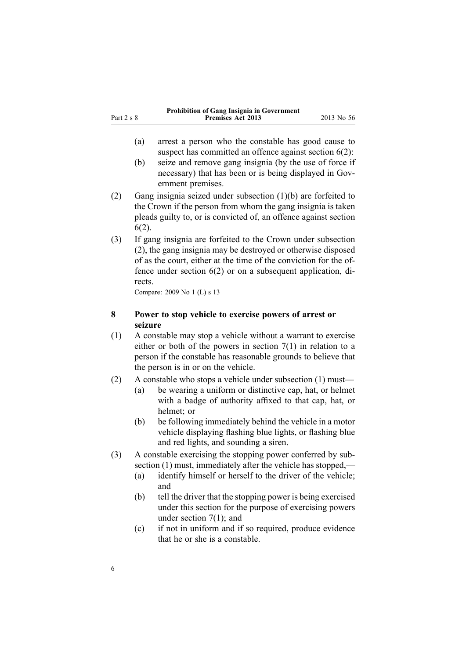<span id="page-5-0"></span>

|            | <b>Prohibition of Gang Insignia in Government</b> |            |
|------------|---------------------------------------------------|------------|
| Part 2 s 8 | <b>Premises Act 2013</b>                          | 2013 No 56 |

- (a) arrest <sup>a</sup> person who the constable has good cause to suspect has committed an offence against [section](#page-4-0)  $6(2)$ :
- (b) seize and remove gang insignia (by the use of force if necessary) that has been or is being displayed in Government premises.
- (2) Gang insignia seized under subsection (1)(b) are forfeited to the Crown if the person from whom the gang insignia is taken pleads guilty to, or is convicted of, an offence against [section](#page-4-0) [6\(2\)](#page-4-0).
- (3) If gang insignia are forfeited to the Crown under subsection (2), the gang insignia may be destroyed or otherwise disposed of as the court, either at the time of the conviction for the offence under [section](#page-4-0) 6(2) or on <sup>a</sup> subsequent application, directs.

Compare: 2009 No 1 (L) <sup>s</sup> [13](http://www.legislation.govt.nz/pdflink.aspx?id=DLM1152878)

## **8 Power to stop vehicle to exercise powers of arrest or seizure**

- (1) A constable may stop <sup>a</sup> vehicle without <sup>a</sup> warrant to exercise either or both of the powers in [section](#page-4-0) 7(1) in relation to <sup>a</sup> person if the constable has reasonable grounds to believe that the person is in or on the vehicle.
- (2) A constable who stops <sup>a</sup> vehicle under subsection (1) must—
	- (a) be wearing <sup>a</sup> uniform or distinctive cap, hat, or helmet with <sup>a</sup> badge of authority affixed to that cap, hat, or helmet; or
	- (b) be following immediately behind the vehicle in <sup>a</sup> motor vehicle displaying flashing blue lights, or flashing blue and red lights, and sounding <sup>a</sup> siren.
- (3) A constable exercising the stopping power conferred by subsection (1) must, immediately after the vehicle has stopped,—
	- (a) identify himself or herself to the driver of the vehicle; and
	- (b) tell the driver that the stopping power is being exercised under this section for the purpose of exercising powers under [section](#page-4-0) 7(1); and
	- (c) if not in uniform and if so required, produce evidence that he or she is <sup>a</sup> constable.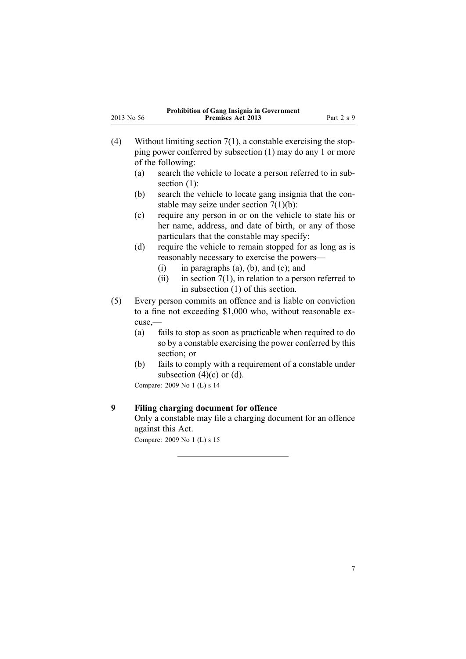<span id="page-6-0"></span>

| <b>Prohibition of Gang Insignia in Government</b> |                          |            |
|---------------------------------------------------|--------------------------|------------|
| 2013 No 56                                        | <b>Premises Act 2013</b> | Part 2 s 9 |

- (4) Without limiting [section](#page-4-0)  $7(1)$ , a constable exercising the stopping power conferred by subsection (1) may do any 1 or more of the following:
	- (a) search the vehicle to locate <sup>a</sup> person referred to in subsection  $(1)$ :
	- (b) search the vehicle to locate gang insignia that the constable may seize under section [7\(1\)\(b\)](#page-4-0):
	- (c) require any person in or on the vehicle to state his or her name, address, and date of birth, or any of those particulars that the constable may specify:
	- (d) require the vehicle to remain stopped for as long as is reasonably necessary to exercise the powers—
		- (i) in paragraphs  $(a)$ ,  $(b)$ , and  $(c)$ ; and
		- (ii) in [section](#page-4-0)  $7(1)$ , in relation to a person referred to in subsection (1) of this section.
- (5) Every person commits an offence and is liable on conviction to <sup>a</sup> fine not exceeding \$1,000 who, without reasonable excuse,—
	- (a) fails to stop as soon as practicable when required to do so by <sup>a</sup> constable exercising the power conferred by this section; or
	- (b) fails to comply with <sup>a</sup> requirement of <sup>a</sup> constable under subsection  $(4)(c)$  or  $(d)$ .

Compare: 2009 No 1 (L) <sup>s</sup> [14](http://www.legislation.govt.nz/pdflink.aspx?id=DLM1634222)

## **9 Filing charging document for offence**

Only <sup>a</sup> constable may file <sup>a</sup> charging document for an offence against this Act.

Compare: 2009 No 1 (L) <sup>s</sup> [15](http://www.legislation.govt.nz/pdflink.aspx?id=DLM1634223)